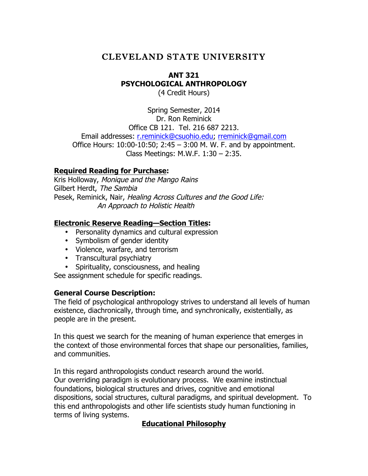# CLEVELAND STATE UNIVERSITY

# **ANT 321 PSYCHOLOGICAL ANTHROPOLOGY**

(4 Credit Hours)

Spring Semester, 2014 Dr. Ron Reminick Office CB 121. Tel. 216 687 2213. Email addresses: r.reminick@csuohio.edu; rreminick@gmail.com Office Hours: 10:00-10:50; 2:45 – 3:00 M. W. F. and by appointment. Class Meetings: M.W.F. 1:30 – 2:35.

### **Required Reading for Purchase:**

Kris Holloway, Monique and the Mango Rains Gilbert Herdt, The Sambia Pesek, Reminick, Nair, Healing Across Cultures and the Good Life: An Approach to Holistic Health

### **Electronic Reserve Reading—Section Titles:**

- Personality dynamics and cultural expression
- Symbolism of gender identity
- Violence, warfare, and terrorism
- Transcultural psychiatry

• Spirituality, consciousness, and healing

See assignment schedule for specific readings.

### **General Course Description:**

The field of psychological anthropology strives to understand all levels of human existence, diachronically, through time, and synchronically, existentially, as people are in the present.

In this quest we search for the meaning of human experience that emerges in the context of those environmental forces that shape our personalities, families, and communities.

In this regard anthropologists conduct research around the world. Our overriding paradigm is evolutionary process. We examine instinctual foundations, biological structures and drives, cognitive and emotional dispositions, social structures, cultural paradigms, and spiritual development. To this end anthropologists and other life scientists study human functioning in terms of living systems.

### **Educational Philosophy**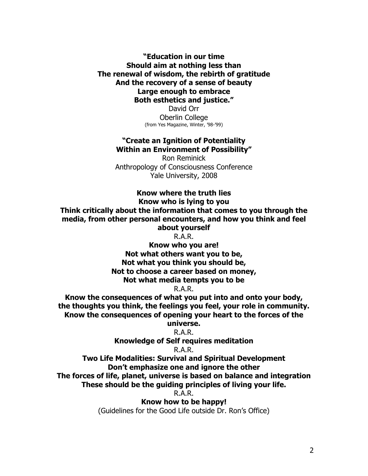**"Education in our time Should aim at nothing less than The renewal of wisdom, the rebirth of gratitude And the recovery of a sense of beauty Large enough to embrace Both esthetics and justice."**

David Orr Oberlin College (from Yes Magazine, Winter, '98-'99)

#### **"Create an Ignition of Potentiality Within an Environment of Possibility"**

Ron Reminick Anthropology of Consciousness Conference Yale University, 2008

#### **Know where the truth lies**

**Know who is lying to you**

**Think critically about the information that comes to you through the media, from other personal encounters, and how you think and feel about yourself**

R.A.R.

**Know who you are! Not what others want you to be, Not what you think you should be, Not to choose a career based on money, Not what media tempts you to be**

R.A.R.

**Know the consequences of what you put into and onto your body, the thoughts you think, the feelings you feel, your role in community. Know the consequences of opening your heart to the forces of the** 

# **universe.**

R.A.R.

**Knowledge of Self requires meditation**

### R.A.R.

**Two Life Modalities: Survival and Spiritual Development Don't emphasize one and ignore the other The forces of life, planet, universe is based on balance and integration**

**These should be the guiding principles of living your life.**

R.A.R.

**Know how to be happy!**

(Guidelines for the Good Life outside Dr. Ron's Office)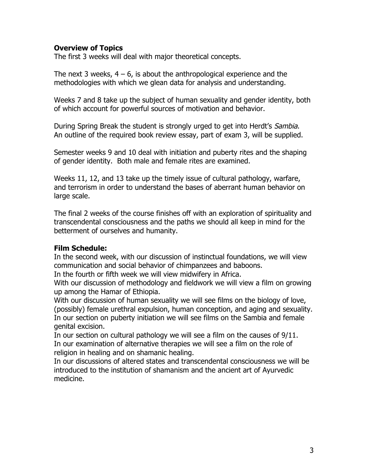#### **Overview of Topics**

The first 3 weeks will deal with major theoretical concepts.

The next 3 weeks,  $4 - 6$ , is about the anthropological experience and the methodologies with which we glean data for analysis and understanding.

Weeks 7 and 8 take up the subject of human sexuality and gender identity, both of which account for powerful sources of motivation and behavior.

During Spring Break the student is strongly urged to get into Herdt's Sambia. An outline of the required book review essay, part of exam 3, will be supplied.

Semester weeks 9 and 10 deal with initiation and puberty rites and the shaping of gender identity. Both male and female rites are examined.

Weeks 11, 12, and 13 take up the timely issue of cultural pathology, warfare, and terrorism in order to understand the bases of aberrant human behavior on large scale.

The final 2 weeks of the course finishes off with an exploration of spirituality and transcendental consciousness and the paths we should all keep in mind for the betterment of ourselves and humanity.

### **Film Schedule:**

In the second week, with our discussion of instinctual foundations, we will view communication and social behavior of chimpanzees and baboons.

In the fourth or fifth week we will view midwifery in Africa.

With our discussion of methodology and fieldwork we will view a film on growing up among the Hamar of Ethiopia.

With our discussion of human sexuality we will see films on the biology of love, (possibly) female urethral expulsion, human conception, and aging and sexuality. In our section on puberty initiation we will see films on the Sambia and female genital excision.

In our section on cultural pathology we will see a film on the causes of 9/11. In our examination of alternative therapies we will see a film on the role of religion in healing and on shamanic healing.

In our discussions of altered states and transcendental consciousness we will be introduced to the institution of shamanism and the ancient art of Ayurvedic medicine.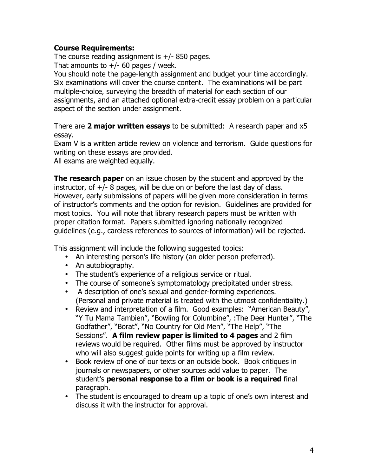### **Course Requirements:**

The course reading assignment is  $+/-$  850 pages.

That amounts to  $+/-$  60 pages / week.

You should note the page-length assignment and budget your time accordingly. Six examinations will cover the course content. The examinations will be part multiple-choice, surveying the breadth of material for each section of our assignments, and an attached optional extra-credit essay problem on a particular aspect of the section under assignment.

There are **2 major written essays** to be submitted: A research paper and x5 essay.

Exam V is a written article review on violence and terrorism. Guide questions for writing on these essays are provided.

All exams are weighted equally.

**The research paper** on an issue chosen by the student and approved by the instructor, of  $+/-$  8 pages, will be due on or before the last day of class. However, early submissions of papers will be given more consideration in terms of instructor's comments and the option for revision. Guidelines are provided for most topics. You will note that library research papers must be written with proper citation format. Papers submitted ignoring nationally recognized guidelines (e.g., careless references to sources of information) will be rejected.

This assignment will include the following suggested topics:

- An interesting person's life history (an older person preferred).
- An autobiography.
- The student's experience of a religious service or ritual.
- The course of someone's symptomatology precipitated under stress.
- A description of one's sexual and gender-forming experiences. (Personal and private material is treated with the utmost confidentiality.)
- Review and interpretation of a film. Good examples: "American Beauty", "Y Tu Mama Tambien", "Bowling for Columbine", :The Deer Hunter", "The Godfather", "Borat", "No Country for Old Men", "The Help", "The Sessions". **A film review paper is limited to 4 pages** and 2 film reviews would be required. Other films must be approved by instructor who will also suggest guide points for writing up a film review.
- Book review of one of our texts or an outside book. Book critiques in journals or newspapers, or other sources add value to paper. The student's **personal response to a film or book is a required** final paragraph.
- The student is encouraged to dream up a topic of one's own interest and discuss it with the instructor for approval.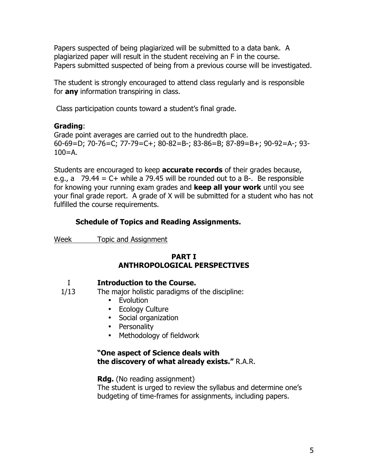Papers suspected of being plagiarized will be submitted to a data bank. A plagiarized paper will result in the student receiving an F in the course. Papers submitted suspected of being from a previous course will be investigated.

The student is strongly encouraged to attend class regularly and is responsible for **any** information transpiring in class.

Class participation counts toward a student's final grade.

### **Grading**:

Grade point averages are carried out to the hundredth place. 60-69=D; 70-76=C; 77-79=C+; 80-82=B-; 83-86=B; 87-89=B+; 90-92=A-; 93-  $100 = A$ .

Students are encouraged to keep **accurate records** of their grades because, e.g., a  $79.44 = C+$  while a 79.45 will be rounded out to a B-. Be responsible for knowing your running exam grades and **keep all your work** until you see your final grade report. A grade of X will be submitted for a student who has not fulfilled the course requirements.

# **Schedule of Topics and Reading Assignments.**

Week Topic and Assignment

# **PART I ANTHROPOLOGICAL PERSPECTIVES**

### I **Introduction to the Course.**

- 1/13 The major holistic paradigms of the discipline:
	- Evolution
	- Ecology Culture
	- Social organization
	- Personality
	- Methodology of fieldwork

### **"One aspect of Science deals with the discovery of what already exists."** R.A.R.

### **Rdg.** (No reading assignment)

The student is urged to review the syllabus and determine one's budgeting of time-frames for assignments, including papers.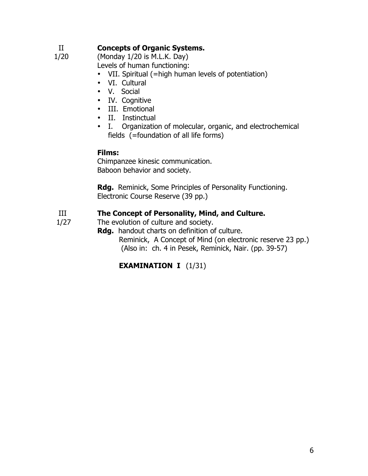# II **Concepts of Organic Systems.**

1/20 (Monday 1/20 is M.L.K. Day)

Levels of human functioning:

- VII. Spiritual (=high human levels of potentiation)
- VI. Cultural
- V. Social
- IV. Cognitive
- III. Emotional
- II. Instinctual
- I. Organization of molecular, organic, and electrochemical fields (=foundation of all life forms)

### **Films:**

Chimpanzee kinesic communication. Baboon behavior and society.

**Rdg.** Reminick, Some Principles of Personality Functioning. Electronic Course Reserve (39 pp.)

# III **The Concept of Personality, Mind, and Culture.**

- 1/27 The evolution of culture and society.
	- **Rdg.** handout charts on definition of culture. Reminick, A Concept of Mind (on electronic reserve 23 pp.) (Also in: ch. 4 in Pesek, Reminick, Nair. (pp. 39-57)

# **EXAMINATION I** (1/31)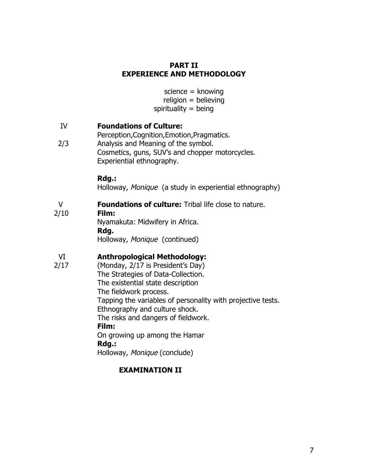#### **PART II EXPERIENCE AND METHODOLOGY**

 science = knowing religion = believing spirituality  $=$  being

### IV **Foundations of Culture:**

Perception,Cognition,Emotion,Pragmatics. 2/3 Analysis and Meaning of the symbol. Cosmetics, guns, SUV's and chopper motorcycles. Experiential ethnography.

#### **Rdg.:**

Holloway, Monique (a study in experiential ethnography)

### V **Foundations of culture:** Tribal life close to nature.

2/10 **Film:**

Nyamakuta: Midwifery in Africa. **Rdg.** Holloway, Monique (continued)

# VI **Anthropological Methodology:**

2/17 (Monday, 2/17 is President's Day)

The Strategies of Data-Collection. The existential state description The fieldwork process. Tapping the variables of personality with projective tests. Ethnography and culture shock. The risks and dangers of fieldwork.

### **Film:**

On growing up among the Hamar **Rdg.:**

Holloway, Monique (conclude)

### **EXAMINATION II**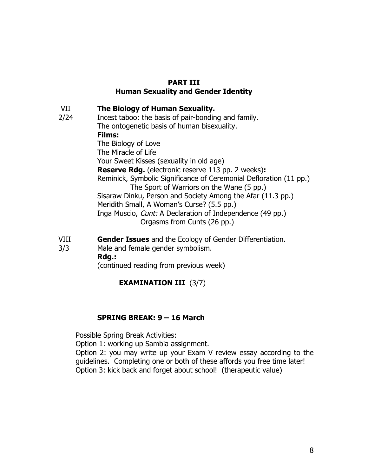### **PART III Human Sexuality and Gender Identity**

VII **The Biology of Human Sexuality.**

- 2/24 Incest taboo: the basis of pair-bonding and family. The ontogenetic basis of human bisexuality. **Films:**  The Biology of Love The Miracle of Life Your Sweet Kisses (sexuality in old age) **Reserve Rdg.** (electronic reserve 113 pp. 2 weeks)**:** Reminick, Symbolic Significance of Ceremonial Defloration (11 pp.) The Sport of Warriors on the Wane (5 pp.) Sisaraw Dinku, Person and Society Among the Afar (11.3 pp.) Meridith Small, A Woman's Curse? (5.5 pp.) Inga Muscio, Cunt: A Declaration of Independence (49 pp.) Orgasms from Cunts (26 pp.)
- VIII **Gender Issues** and the Ecology of Gender Differentiation.
- 3/3 Male and female gender symbolism.

**Rdg.:**

(continued reading from previous week)

# **EXAMINATION III** (3/7)

### **SPRING BREAK: 9 – 16 March**

Possible Spring Break Activities:

Option 1: working up Sambia assignment.

Option 2: you may write up your Exam V review essay according to the guidelines. Completing one or both of these affords you free time later! Option 3: kick back and forget about school! (therapeutic value)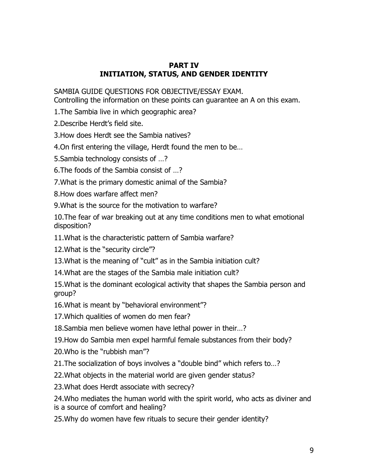### **PART IV INITIATION, STATUS, AND GENDER IDENTITY**

SAMBIA GUIDE QUESTIONS FOR OBJECTIVE/ESSAY EXAM.

Controlling the information on these points can guarantee an A on this exam.

1.The Sambia live in which geographic area?

2.Describe Herdt's field site.

3.How does Herdt see the Sambia natives?

4.On first entering the village, Herdt found the men to be…

5.Sambia technology consists of …?

6.The foods of the Sambia consist of …?

7.What is the primary domestic animal of the Sambia?

8.How does warfare affect men?

9.What is the source for the motivation to warfare?

10.The fear of war breaking out at any time conditions men to what emotional disposition?

11.What is the characteristic pattern of Sambia warfare?

12.What is the "security circle"?

13.What is the meaning of "cult" as in the Sambia initiation cult?

14.What are the stages of the Sambia male initiation cult?

15.What is the dominant ecological activity that shapes the Sambia person and group?

16.What is meant by "behavioral environment"?

17.Which qualities of women do men fear?

18.Sambia men believe women have lethal power in their…?

19.How do Sambia men expel harmful female substances from their body?

20.Who is the "rubbish man"?

21.The socialization of boys involves a "double bind" which refers to…?

22.What objects in the material world are given gender status?

23.What does Herdt associate with secrecy?

24.Who mediates the human world with the spirit world, who acts as diviner and is a source of comfort and healing?

25.Why do women have few rituals to secure their gender identity?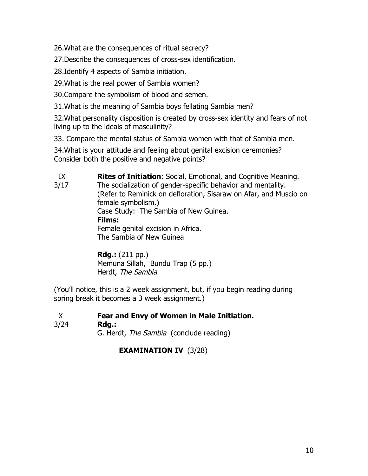26.What are the consequences of ritual secrecy?

27.Describe the consequences of cross-sex identification.

28.Identify 4 aspects of Sambia initiation.

29.What is the real power of Sambia women?

30.Compare the symbolism of blood and semen.

31.What is the meaning of Sambia boys fellating Sambia men?

32.What personality disposition is created by cross-sex identity and fears of not living up to the ideals of masculinity?

33. Compare the mental status of Sambia women with that of Sambia men.

34.What is your attitude and feeling about genital excision ceremonies? Consider both the positive and negative points?

IX **Rites of Initiation**: Social, Emotional, and Cognitive Meaning. 3/17 The socialization of gender-specific behavior and mentality. (Refer to Reminick on defloration, Sisaraw on Afar, and Muscio on female symbolism.) Case Study: The Sambia of New Guinea. **Films:**  Female genital excision in Africa. The Sambia of New Guinea

> **Rdg.:** (211 pp.) Memuna Sillah, Bundu Trap (5 pp.) Herdt, The Sambia

(You'll notice, this is a 2 week assignment, but, if you begin reading during spring break it becomes a 3 week assignment.)

X **Fear and Envy of Women in Male Initiation.**

### 3/24 **Rdg.:**

G. Herdt, The Sambia (conclude reading)

# **EXAMINATION IV** (3/28)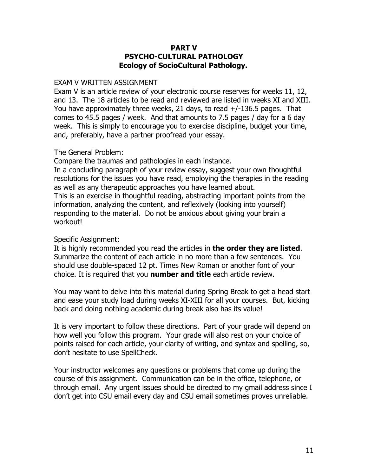#### **PART V PSYCHO-CULTURAL PATHOLOGY Ecology of SocioCultural Pathology.**

#### EXAM V WRITTEN ASSIGNMENT

Exam V is an article review of your electronic course reserves for weeks 11, 12, and 13. The 18 articles to be read and reviewed are listed in weeks XI and XIII. You have approximately three weeks, 21 days, to read +/-136.5 pages. That comes to 45.5 pages / week. And that amounts to 7.5 pages / day for a 6 day week. This is simply to encourage you to exercise discipline, budget your time, and, preferably, have a partner proofread your essay.

#### The General Problem:

Compare the traumas and pathologies in each instance. In a concluding paragraph of your review essay, suggest your own thoughtful resolutions for the issues you have read, employing the therapies in the reading as well as any therapeutic approaches you have learned about. This is an exercise in thoughtful reading, abstracting important points from the information, analyzing the content, and reflexively (looking into yourself) responding to the material. Do not be anxious about giving your brain a workout!

### Specific Assignment:

It is highly recommended you read the articles in **the order they are listed**. Summarize the content of each article in no more than a few sentences. You should use double-spaced 12 pt. Times New Roman or another font of your choice. It is required that you **number and title** each article review.

You may want to delve into this material during Spring Break to get a head start and ease your study load during weeks XI-XIII for all your courses. But, kicking back and doing nothing academic during break also has its value!

It is very important to follow these directions. Part of your grade will depend on how well you follow this program. Your grade will also rest on your choice of points raised for each article, your clarity of writing, and syntax and spelling, so, don't hesitate to use SpellCheck.

Your instructor welcomes any questions or problems that come up during the course of this assignment. Communication can be in the office, telephone, or through email. Any urgent issues should be directed to my gmail address since I don't get into CSU email every day and CSU email sometimes proves unreliable.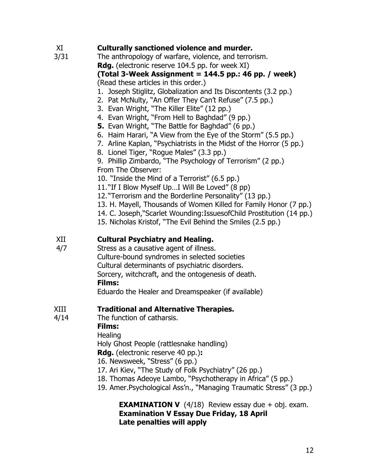# XI **Culturally sanctioned violence and murder.**

3/31 The anthropology of warfare, violence, and terrorism. **Rdg.** (electronic reserve 104.5 pp. for week XI)

### **(Total 3-Week Assignment = 144.5 pp.: 46 pp. / week)** (Read these articles in this order.)

- 1. Joseph Stiglitz, Globalization and Its Discontents (3.2 pp.)
- 2. Pat McNulty, "An Offer They Can't Refuse" (7.5 pp.)
- 3. Evan Wright, "The Killer Elite" (12 pp.)
- 4. Evan Wright, "From Hell to Baghdad" (9 pp.)
- **5.** Evan Wright, "The Battle for Baghdad" (6 pp.)
- 6. Haim Harari, "A View from the Eye of the Storm" (5.5 pp.)
- 7. Arline Kaplan, "Psychiatrists in the Midst of the Horror (5 pp.)
- 8. Lionel Tiger, "Rogue Males" (3.3 pp.)
- 9. Phillip Zimbardo, "The Psychology of Terrorism" (2 pp.)
- From The Observer:
- 10. "Inside the Mind of a Terrorist" (6.5 pp.)
- 11. "If I Blow Myself Up…I Will Be Loved" (8 pp)
- 12. "Terrorism and the Borderline Personality" (13 pp.)
- 13. H. Mayell, Thousands of Women Killed for Family Honor (7 pp.)
- 14. C. Joseph,"Scarlet Wounding:IssuesofChild Prostitution (14 pp.)
- 15. Nicholas Kristof, "The Evil Behind the Smiles (2.5 pp.)

# XII **Cultural Psychiatry and Healing.**

4/7 Stress as a causative agent of illness. Culture-bound syndromes in selected societies Cultural determinants of psychiatric disorders. Sorcery, witchcraft, and the ontogenesis of death. **Films:**

Eduardo the Healer and Dreamspeaker (if available)

# XIII **Traditional and Alternative Therapies.**

4/14 The function of catharsis.

### **Films:**

**Healing** 

Holy Ghost People (rattlesnake handling)

**Rdg.** (electronic reserve 40 pp.)**:**

- 16. Newsweek, "Stress" (6 pp.)
- 17. Ari Kiev, "The Study of Folk Psychiatry" (26 pp.)
- 18. Thomas Adeoye Lambo, "Psychotherapy in Africa" (5 pp.)
- 19. Amer.Psychological Ass'n., "Managing Traumatic Stress" (3 pp.)

#### **EXAMINATION V**  $(4/18)$  Review essay due + obj. exam.  **Examination V Essay Due Friday, 18 April Late penalties will apply**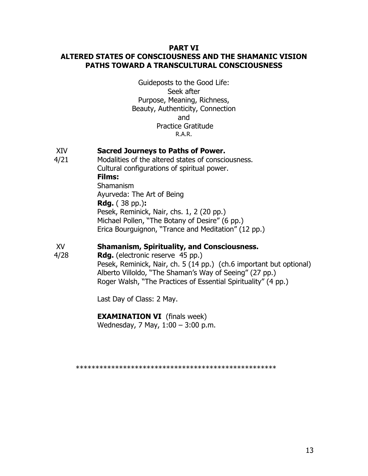#### **PART VI ALTERED STATES OF CONSCIOUSNESS AND THE SHAMANIC VISION PATHS TOWARD A TRANSCULTURAL CONSCIOUSNESS**

Guideposts to the Good Life: Seek after Purpose, Meaning, Richness, Beauty, Authenticity, Connection and Practice Gratitude R.A.R.

### XIV **Sacred Journeys to Paths of Power.**

4/21 Modalities of the altered states of consciousness. Cultural configurations of spiritual power. **Films:**  Shamanism Ayurveda: The Art of Being **Rdg.** ( 38 pp.)**:** Pesek, Reminick, Nair, chs. 1, 2 (20 pp.) Michael Pollen, "The Botany of Desire" (6 pp.) Erica Bourguignon, "Trance and Meditation" (12 pp.)

#### XV **Shamanism, Spirituality, and Consciousness.**

4/28 **Rdg.** (electronic reserve 45 pp.) Pesek, Reminick, Nair, ch. 5 (14 pp.) (ch.6 important but optional) Alberto Villoldo, "The Shaman's Way of Seeing" (27 pp.) Roger Walsh, "The Practices of Essential Spirituality" (4 pp.)

Last Day of Class: 2 May.

#### **EXAMINATION VI** (finals week)

Wednesday, 7 May, 1:00 – 3:00 p.m.

\*\*\*\*\*\*\*\*\*\*\*\*\*\*\*\*\*\*\*\*\*\*\*\*\*\*\*\*\*\*\*\*\*\*\*\*\*\*\*\*\*\*\*\*\*\*\*\*\*\*\*